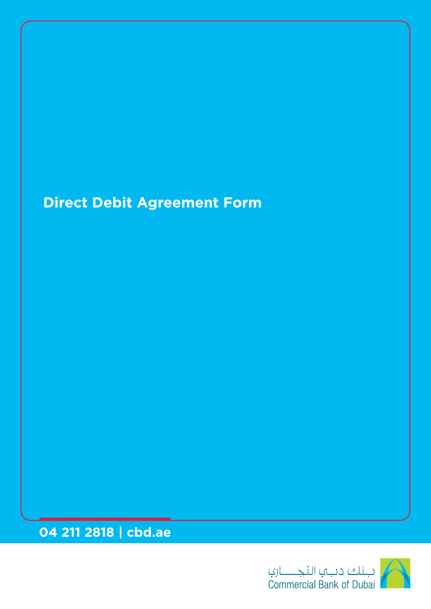# **Direct Debit Agreement Form**

**04 211 2818 | cbd.ae**

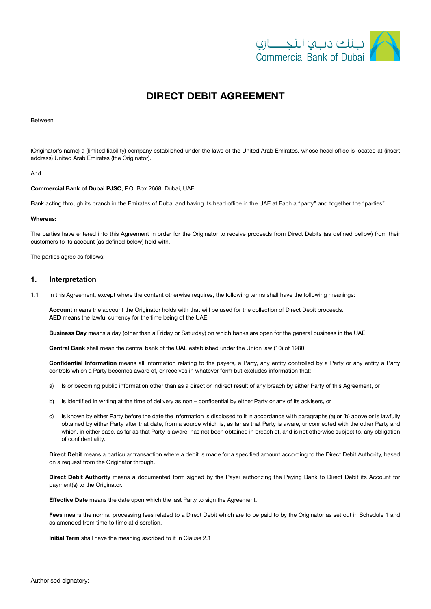

## DIRECT DEBIT AGREEMENT

#### Between

(Originator's name) a (limited liability) company established under the laws of the United Arab Emirates, whose head office is located at (insert address) United Arab Emirates (the Originator).

\_\_\_\_\_\_\_\_\_\_\_\_\_\_\_\_\_\_\_\_\_\_\_\_\_\_\_\_\_\_\_\_\_\_\_\_\_\_\_\_\_\_\_\_\_\_\_\_\_\_\_\_\_\_\_\_\_\_\_\_\_\_\_\_\_\_\_\_\_\_\_\_\_\_\_\_\_\_\_\_\_\_\_\_\_\_\_\_\_\_\_\_\_\_\_\_\_\_\_\_\_\_\_\_\_\_\_\_\_\_\_\_\_\_\_\_\_\_\_\_\_\_\_\_\_\_\_

#### And

#### Commercial Bank of Dubai PJSC, P.O. Box 2668, Dubai, UAE.

Bank acting through its branch in the Emirates of Dubai and having its head office in the UAE at Each a "party" and together the "parties"

#### Whereas:

The parties have entered into this Agreement in order for the Originator to receive proceeds from Direct Debits (as defined bellow) from their customers to its account (as defined below) held with.

The parties agree as follows:

#### 1. Interpretation

1.1 In this Agreement, except where the content otherwise requires, the following terms shall have the following meanings:

Account means the account the Originator holds with that will be used for the collection of Direct Debit proceeds. AED means the lawful currency for the time being of the UAE.

Business Day means a day (other than a Friday or Saturday) on which banks are open for the general business in the UAE.

Central Bank shall mean the central bank of the UAE established under the Union law (10) of 1980.

Confidential Information means all information relating to the payers, a Party, any entity controlled by a Party or any entity a Party controls which a Party becomes aware of, or receives in whatever form but excludes information that:

- a) Is or becoming public information other than as a direct or indirect result of any breach by either Party of this Agreement, or
- b) Is identified in writing at the time of delivery as non confidential by either Party or any of its advisers, or
- c) Is known by either Party before the date the information is disclosed to it in accordance with paragraphs (a) or (b) above or is lawfully obtained by either Party after that date, from a source which is, as far as that Party is aware, unconnected with the other Party and which, in either case, as far as that Party is aware, has not been obtained in breach of, and is not otherwise subject to, any obligation of confidentiality.

Direct Debit means a particular transaction where a debit is made for a specified amount according to the Direct Debit Authority, based on a request from the Originator through.

Direct Debit Authority means a documented form signed by the Payer authorizing the Paying Bank to Direct Debit its Account for payment(s) to the Originator.

**Effective Date** means the date upon which the last Party to sign the Agreement.

Fees means the normal processing fees related to a Direct Debit which are to be paid to by the Originator as set out in Schedule 1 and as amended from time to time at discretion.

Initial Term shall have the meaning ascribed to it in Clause 2.1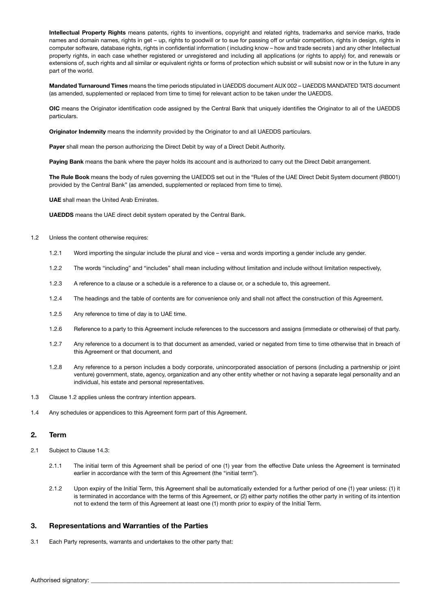Intellectual Property Rights means patents, rights to inventions, copyright and related rights, trademarks and service marks, trade names and domain names, rights in get – up, rights to goodwill or to sue for passing off or unfair competition, rights in design, rights in computer software, database rights, rights in confidential information ( including know – how and trade secrets ) and any other Intellectual property rights, in each case whether registered or unregistered and including all applications (or rights to apply) for, and renewals or extensions of, such rights and all similar or equivalent rights or forms of protection which subsist or will subsist now or in the future in any part of the world.

Mandated Turnaround Times means the time periods stipulated in UAEDDS document AUX 002 – UAEDDS MANDATED TATS document (as amended, supplemented or replaced from time to time) for relevant action to be taken under the UAEDDS.

OIC means the Originator identification code assigned by the Central Bank that uniquely identifies the Originator to all of the UAEDDS particulars.

**Originator Indemnity** means the indemnity provided by the Originator to and all UAEDDS particulars.

Payer shall mean the person authorizing the Direct Debit by way of a Direct Debit Authority.

Paying Bank means the bank where the payer holds its account and is authorized to carry out the Direct Debit arrangement.

The Rule Book means the body of rules governing the UAEDDS set out in the "Rules of the UAE Direct Debit System document (RB001) provided by the Central Bank" (as amended, supplemented or replaced from time to time).

UAE shall mean the United Arab Emirates.

UAEDDS means the UAE direct debit system operated by the Central Bank.

#### 1.2 Unless the content otherwise requires:

- 1.2.1 Word importing the singular include the plural and vice versa and words importing a gender include any gender.
- 1.2.2 The words "including" and "includes" shall mean including without limitation and include without limitation respectively,
- 1.2.3 A reference to a clause or a schedule is a reference to a clause or, or a schedule to, this agreement.
- 1.2.4 The headings and the table of contents are for convenience only and shall not affect the construction of this Agreement.
- 1.2.5 Any reference to time of day is to UAE time.
- 1.2.6 Reference to a party to this Agreement include references to the successors and assigns (immediate or otherwise) of that party.
- 1.2.7 Any reference to a document is to that document as amended, varied or negated from time to time otherwise that in breach of this Agreement or that document, and
- 1.2.8 Any reference to a person includes a body corporate, unincorporated association of persons (including a partnership or joint venture) government, state, agency, organization and any other entity whether or not having a separate legal personality and an individual, his estate and personal representatives.
- 1.3 Clause 1.2 applies unless the contrary intention appears.
- 1.4 Any schedules or appendices to this Agreement form part of this Agreement.

#### 2. Term

- 2.1 Subject to Clause 14.3:
	- 2.1.1 The initial term of this Agreement shall be period of one (1) year from the effective Date unless the Agreement is terminated earlier in accordance with the term of this Agreement (the "initial term").
	- 2.1.2 Upon expiry of the Initial Term, this Agreement shall be automatically extended for a further period of one (1) year unless: (1) it is terminated in accordance with the terms of this Agreement, or (2) either party notifies the other party in writing of its intention not to extend the term of this Agreement at least one (1) month prior to expiry of the Initial Term.

#### 3. Representations and Warranties of the Parties

3.1 Each Party represents, warrants and undertakes to the other party that: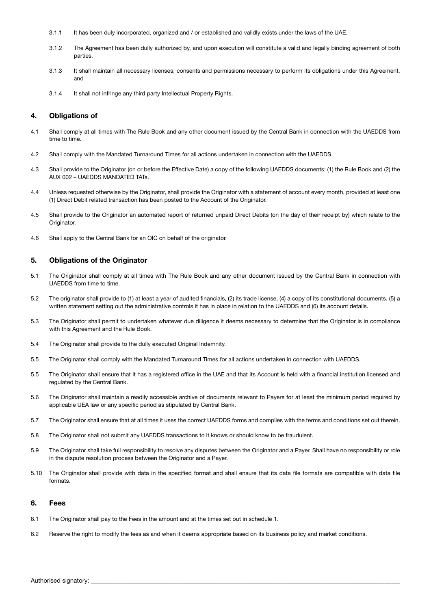- 3.1.1 It has been duly incorporated, organized and / or established and validly exists under the laws of the UAE.
- 3.1.2 The Agreement has been dully authorized by, and upon execution will constitute a valid and legally binding agreement of both parties.
- 3.1.3 It shall maintain all necessary licenses, consents and permissions necessary to perform its obligations under this Agreement, and
- 3.1.4 It shall not infringe any third party Intellectual Property Rights.

#### 4. Obligations of

- 4.1 Shall comply at all times with The Rule Book and any other document issued by the Central Bank in connection with the UAEDDS from time to time.
- 4.2 Shall comply with the Mandated Turnaround Times for all actions undertaken in connection with the UAEDDS.
- 4.3 Shall provide to the Originator (on or before the Effective Date) a copy of the following UAEDDS documents: (1) the Rule Book and (2) the AUX 002 – UAEDDS MANDATED TATs.
- 4.4 Unless requested otherwise by the Originator, shall provide the Originator with a statement of account every month, provided at least one (1) Direct Debit related transaction has been posted to the Account of the Originator.
- 4.5 Shall provide to the Originator an automated report of returned unpaid Direct Debits (on the day of their receipt by) which relate to the Originator.
- 4.6 Shall apply to the Central Bank for an OIC on behalf of the originator.

## 5. Obligations of the Originator

- 5.1 The Originator shall comply at all times with The Rule Book and any other document issued by the Central Bank in connection with UAEDDS from time to time.
- 5.2 The originator shall provide to (1) at least a year of audited financials, (2) its trade license, (4) a copy of its constitutional documents, (5) a written statement setting out the administrative controls it has in place in relation to the UAEDDS and (6) its account details.
- 5.3 The Originator shall permit to undertaken whatever due diligence it deems necessary to determine that the Originator is in compliance with this Agreement and the Rule Book.
- 5.4 The Originator shall provide to the dully executed Original Indemnity.
- 5.5 The Originator shall comply with the Mandated Turnaround Times for all actions undertaken in connection with UAEDDS.
- 5.5 The Originator shall ensure that it has a registered office in the UAE and that its Account is held with a financial institution licensed and regulated by the Central Bank.
- 5.6 The Originator shall maintain a readily accessible archive of documents relevant to Payers for at least the minimum period required by applicable UEA law or any specific period as stipulated by Central Bank.
- 5.7 The Originator shall ensure that at all times it uses the correct UAEDDS forms and complies with the terms and conditions set out therein.
- 5.8 The Originator shall not submit any UAEDDS transactions to it knows or should know to be fraudulent.
- 5.9 The Originator shall take full responsibility to resolve any disputes between the Originator and a Payer. Shall have no responsibility or role in the dispute resolution process between the Originator and a Payer.
- 5.10 The Originator shall provide with data in the specified format and shall ensure that its data file formats are compatible with data file formats.

#### 6. Fees

- 6.1 The Originator shall pay to the Fees in the amount and at the times set out in schedule 1.
- 6.2 Reserve the right to modify the fees as and when it deems appropriate based on its business policy and market conditions.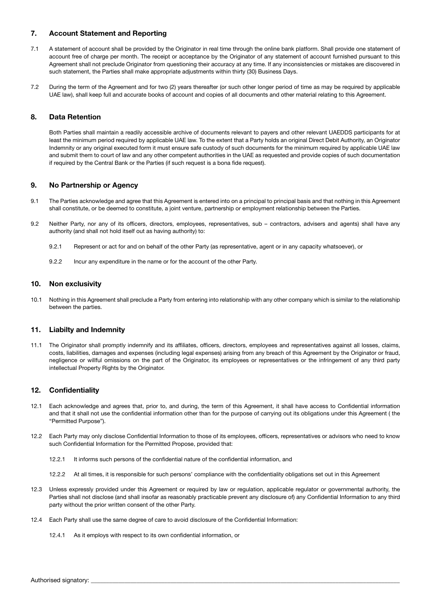## 7. Account Statement and Reporting

- 7.1 A statement of account shall be provided by the Originator in real time through the online bank platform. Shall provide one statement of account free of charge per month. The receipt or acceptance by the Originator of any statement of account furnished pursuant to this Agreement shall not preclude Originator from questioning their accuracy at any time. If any inconsistencies or mistakes are discovered in such statement, the Parties shall make appropriate adjustments within thirty (30) Business Days.
- 7.2 During the term of the Agreement and for two (2) years thereafter (or such other longer period of time as may be required by applicable UAE law), shall keep full and accurate books of account and copies of all documents and other material relating to this Agreement.

## 8. Data Retention

Both Parties shall maintain a readily accessible archive of documents relevant to payers and other relevant UAEDDS participants for at least the minimum period required by applicable UAE law. To the extent that a Party holds an original Direct Debit Authority, an Originator Indemnity or any original executed form it must ensure safe custody of such documents for the minimum required by applicable UAE law and submit them to court of law and any other competent authorities in the UAE as requested and provide copies of such documentation if required by the Central Bank or the Parties (if such request is a bona fide request).

## 9. No Partnership or Agency

- 9.1 The Parties acknowledge and agree that this Agreement is entered into on a principal to principal basis and that nothing in this Agreement shall constitute, or be deemed to constitute, a joint venture, partnership or employment relationship between the Parties.
- 9.2 Neither Party, nor any of its officers, directors, employees, representatives, sub contractors, advisers and agents) shall have any authority (and shall not hold itself out as having authority) to:
	- 9.2.1 Represent or act for and on behalf of the other Party (as representative, agent or in any capacity whatsoever), or
	- 9.2.2 Incur any expenditure in the name or for the account of the other Party.

## 10. Non exclusivity

10.1 Nothing in this Agreement shall preclude a Party from entering into relationship with any other company which is similar to the relationship between the parties.

## 11. Liabilty and Indemnity

11.1 The Originator shall promptly indemnify and its affiliates, officers, directors, employees and representatives against all losses, claims, costs, liabilities, damages and expenses (including legal expenses) arising from any breach of this Agreement by the Originator or fraud, negligence or willful omissions on the part of the Originator, its employees or representatives or the infringement of any third party intellectual Property Rights by the Originator.

## 12. Confidentiality

- 12.1 Each acknowledge and agrees that, prior to, and during, the term of this Agreement, it shall have access to Confidential information and that it shall not use the confidential information other than for the purpose of carrying out its obligations under this Agreement ( the "Permitted Purpose").
- 12.2 Each Party may only disclose Confidential Information to those of its employees, officers, representatives or advisors who need to know such Confidential Information for the Permitted Propose, provided that:
	- 12.2.1 It informs such persons of the confidential nature of the confidential information, and
	- 12.2.2 At all times, it is responsible for such persons' compliance with the confidentiality obligations set out in this Agreement
- 12.3 Unless expressly provided under this Agreement or required by law or regulation, applicable regulator or governmental authority, the Parties shall not disclose (and shall insofar as reasonably practicable prevent any disclosure of) any Confidential Information to any third party without the prior written consent of the other Party.
- 12.4 Each Party shall use the same degree of care to avoid disclosure of the Confidential Information:
	- 12.4.1 As it employs with respect to its own confidential information, or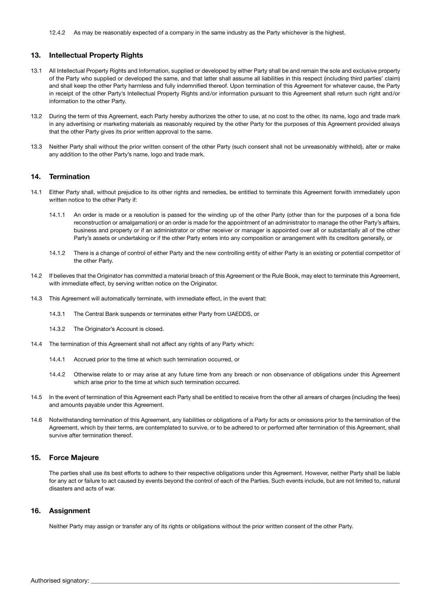#### 13. Intellectual Property Rights

- 13.1 All Intellectual Property Rights and Information, supplied or developed by either Party shall be and remain the sole and exclusive property of the Party who supplied or developed the same, and that latter shall assume all liabilities in this respect (including third parties' claim) and shall keep the other Party harmless and fully indemnified thereof. Upon termination of this Agreement for whatever cause, the Party in receipt of the other Party's Intellectual Property Rights and/or information pursuant to this Agreement shall return such right and/or information to the other Party.
- 13.2 During the term of this Agreement, each Party hereby authorizes the other to use, at no cost to the other, its name, logo and trade mark in any advertising or marketing materials as reasonably required by the other Party for the purposes of this Agreement provided always that the other Party gives its prior written approval to the same.
- 13.3 Neither Party shall without the prior written consent of the other Party (such consent shall not be unreasonably withheld), alter or make any addition to the other Party's name, logo and trade mark.

#### 14. Termination

- 14.1 Either Party shall, without prejudice to its other rights and remedies, be entitled to terminate this Agreement forwith immediately upon written notice to the other Party if:
	- 14.1.1 An order is made or a resolution is passed for the winding up of the other Party (other than for the purposes of a bona fide reconstruction or amalgamation) or an order is made for the appointment of an administrator to manage the other Party's affairs, business and property or if an administrator or other receiver or manager is appointed over all or substantially all of the other Party's assets or undertaking or if the other Party enters into any composition or arrangement with its creditors generally, or
	- 14.1.2 There is a change of control of either Party and the new controlling entity of either Party is an existing or potential competitor of the other Party.
- 14.2 If believes that the Originator has committed a material breach of this Agreement or the Rule Book, may elect to terminate this Agreement, with immediate effect, by serving written notice on the Originator.
- 14.3 This Agreement will automatically terminate, with immediate effect, in the event that:
	- 14.3.1 The Central Bank suspends or terminates either Party from UAEDDS, or
	- 14.3.2 The Originator's Account is closed.
- 14.4 The termination of this Agreement shall not affect any rights of any Party which:
	- 14.4.1 Accrued prior to the time at which such termination occurred, or
	- 14.4.2 Otherwise relate to or may arise at any future time from any breach or non observance of obligations under this Agreement which arise prior to the time at which such termination occurred.
- 14.5 In the event of termination of this Agreement each Party shall be entitled to receive from the other all arrears of charges (including the fees) and amounts payable under this Agreement.
- 14.6 Notwithstanding termination of this Agreement, any liabilities or obligations of a Party for acts or omissions prior to the termination of the Agreement, which by their terms, are contemplated to survive, or to be adhered to or performed after termination of this Agreement, shall survive after termination thereof.

#### 15. Force Majeure

The parties shall use its best efforts to adhere to their respective obligations under this Agreement. However, neither Party shall be liable for any act or failure to act caused by events beyond the control of each of the Parties. Such events include, but are not limited to, natural disasters and acts of war.

#### 16. Assignment

Neither Party may assign or transfer any of its rights or obligations without the prior written consent of the other Party.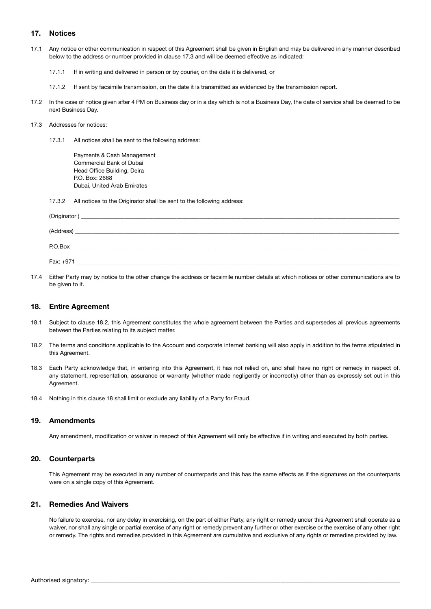## 17. Notices

- 17.1 Any notice or other communication in respect of this Agreement shall be given in English and may be delivered in any manner described below to the address or number provided in clause 17.3 and will be deemed effective as indicated:
	- 17.1.1 If in writing and delivered in person or by courier, on the date it is delivered, or
	- 17.1.2 If sent by facsimile transmission, on the date it is transmitted as evidenced by the transmission report.
- 17.2 In the case of notice given after 4 PM on Business day or in a day which is not a Business Day, the date of service shall be deemed to be next Business Day.

#### 17.3 Addresses for notices:

17.3.1 All notices shall be sent to the following address:

Payments & Cash Management Commercial Bank of Dubai Head Office Building, Deira P.O. Box: 2668 Dubai, United Arab Emirates

17.3.2 All notices to the Originator shall be sent to the following address:

| (Originator)<br><u> 1989 - Jan Barnett, mars and de final de la provincia de la provincia de la provincia de la provincia de la p</u> |
|---------------------------------------------------------------------------------------------------------------------------------------|
| (Address)                                                                                                                             |
| P.O.Box                                                                                                                               |
| Fax: +971                                                                                                                             |

17.4 Either Party may by notice to the other change the address or facsimile number details at which notices or other communications are to be given to it.

#### 18. Entire Agreement

- 18.1 Subject to clause 18.2, this Agreement constitutes the whole agreement between the Parties and supersedes all previous agreements between the Parties relating to its subject matter.
- 18.2 The terms and conditions applicable to the Account and corporate internet banking will also apply in addition to the terms stipulated in this Agreement.
- 18.3 Each Party acknowledge that, in entering into this Agreement, it has not relied on, and shall have no right or remedy in respect of, any statement, representation, assurance or warranty (whether made negligently or incorrectly) other than as expressly set out in this Agreement.
- 18.4 Nothing in this clause 18 shall limit or exclude any liability of a Party for Fraud.

#### 19. Amendments

Any amendment, modification or waiver in respect of this Agreement will only be effective if in writing and executed by both parties.

#### 20. Counterparts

This Agreement may be executed in any number of counterparts and this has the same effects as if the signatures on the counterparts were on a single copy of this Agreement.

## 21. Remedies And Waivers

No failure to exercise, nor any delay in exercising, on the part of either Party, any right or remedy under this Agreement shall operate as a waiver, nor shall any single or partial exercise of any right or remedy prevent any further or other exercise or the exercise of any other right or remedy. The rights and remedies provided in this Agreement are cumulative and exclusive of any rights or remedies provided by law.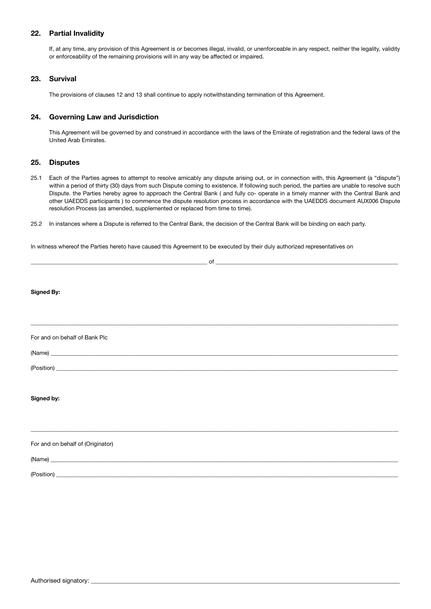### 22. Partial Invalidity

If, at any time, any provision of this Agreement is or becomes illegal, invalid, or unenforceable in any respect, neither the legality, validity or enforceability of the remaining provisions will in any way be affected or impaired.

#### 23. Survival

The provisions of clauses 12 and 13 shall continue to apply notwithstanding termination of this Agreement.

## 24. Governing Law and Jurisdiction

This Agreement will be governed by and construed in accordance with the laws of the Emirate of registration and the federal laws of the United Arab Emirates.

#### 25. Disputes

- 25.1 Each of the Parties agrees to attempt to resolve amicably any dispute arising out, or in connection with, this Agreement (a "dispute") within a period of thirty (30) days from such Dispute coming to existence. If following such period, the parties are unable to resolve such Dispute. the Parties hereby agree to approach the Central Bank ( and fully co- operate in a timely manner with the Central Bank and other UAEDDS participants ) to commence the dispute resolution process in accordance with the UAEDDS document AUX006 Dispute resolution Process (as amended, supplemented or replaced from time to time).
- 25.2 In instances where a Dispute is referred to the Central Bank, the decision of the Central Bank will be binding on each party.

In witness whereof the Parties hereto have caused this Agreement to be executed by their duly authorized representatives on

| $\sim$ 0.000 $\sim$ 0.000 $\sim$ 0.000 $\sim$ 0.000 $\sim$ 0.000 $\sim$ 0.000 $\sim$ 0.000 $\sim$ 0.000 $\sim$ 0.000 $\sim$ 0.000 $\sim$ 0.000 $\sim$ 0.000 $\sim$ 0.000 $\sim$ 0.000 $\sim$ 0.000 $\sim$ 0.000 $\sim$ 0.000 $\sim$ 0.000 $\sim$ 0.000 $\sim$ 0.000 |
|---------------------------------------------------------------------------------------------------------------------------------------------------------------------------------------------------------------------------------------------------------------------|
|                                                                                                                                                                                                                                                                     |
| <b>Signed By:</b>                                                                                                                                                                                                                                                   |
|                                                                                                                                                                                                                                                                     |
|                                                                                                                                                                                                                                                                     |
| For and on behalf of Bank Plc                                                                                                                                                                                                                                       |
|                                                                                                                                                                                                                                                                     |
|                                                                                                                                                                                                                                                                     |
|                                                                                                                                                                                                                                                                     |
| Signed by:                                                                                                                                                                                                                                                          |
|                                                                                                                                                                                                                                                                     |
|                                                                                                                                                                                                                                                                     |
| For and on behalf of (Originator)                                                                                                                                                                                                                                   |
|                                                                                                                                                                                                                                                                     |
|                                                                                                                                                                                                                                                                     |
|                                                                                                                                                                                                                                                                     |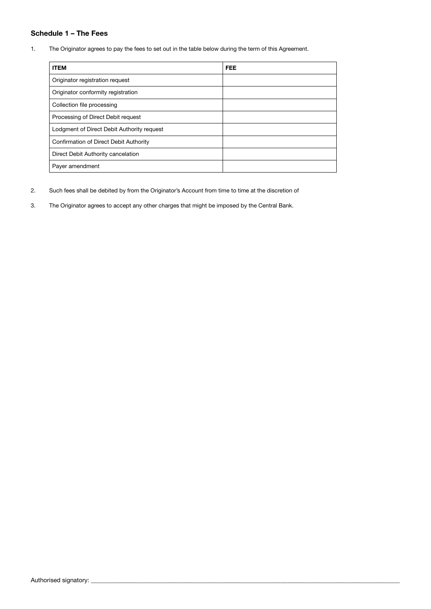## Schedule 1 – The Fees

1. The Originator agrees to pay the fees to set out in the table below during the term of this Agreement.

| <b>ITEM</b>                                | <b>FEE</b> |
|--------------------------------------------|------------|
| Originator registration request            |            |
| Originator conformity registration         |            |
| Collection file processing                 |            |
| Processing of Direct Debit request         |            |
| Lodgment of Direct Debit Authority request |            |
| Confirmation of Direct Debit Authority     |            |
| Direct Debit Authority cancelation         |            |
| Payer amendment                            |            |

- 2. Such fees shall be debited by from the Originator's Account from time to time at the discretion of
- 3. The Originator agrees to accept any other charges that might be imposed by the Central Bank.